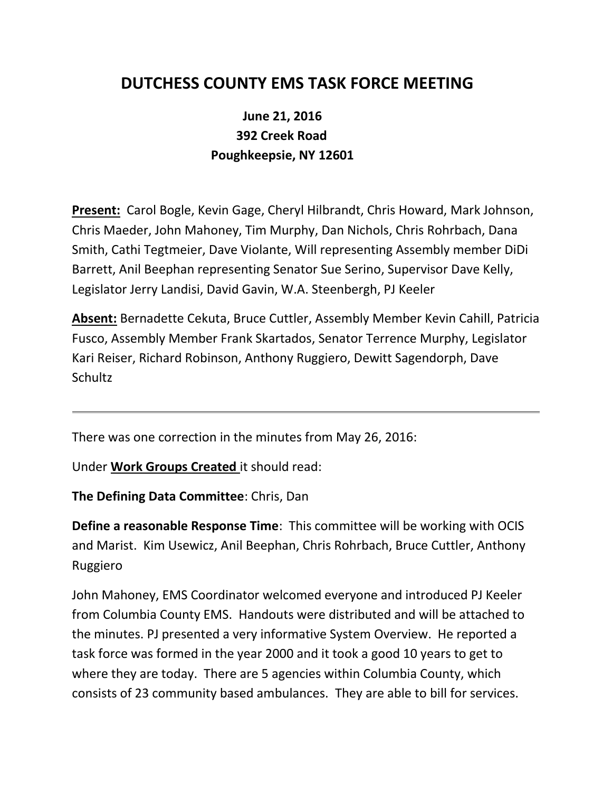## **DUTCHESS COUNTY EMS TASK FORCE MEETING**

## **June 21, 2016 392 Creek Road Poughkeepsie, NY 12601**

**Present:** Carol Bogle, Kevin Gage, Cheryl Hilbrandt, Chris Howard, Mark Johnson, Chris Maeder, John Mahoney, Tim Murphy, Dan Nichols, Chris Rohrbach, Dana Smith, Cathi Tegtmeier, Dave Violante, Will representing Assembly member DiDi Barrett, Anil Beephan representing Senator Sue Serino, Supervisor Dave Kelly, Legislator Jerry Landisi, David Gavin, W.A. Steenbergh, PJ Keeler

**Absent:** Bernadette Cekuta, Bruce Cuttler, Assembly Member Kevin Cahill, Patricia Fusco, Assembly Member Frank Skartados, Senator Terrence Murphy, Legislator Kari Reiser, Richard Robinson, Anthony Ruggiero, Dewitt Sagendorph, Dave Schultz

There was one correction in the minutes from May 26, 2016:

Under **Work Groups Created** it should read:

**The Defining Data Committee**: Chris, Dan

**Define a reasonable Response Time**: This committee will be working with OCIS and Marist. Kim Usewicz, Anil Beephan, Chris Rohrbach, Bruce Cuttler, Anthony Ruggiero

John Mahoney, EMS Coordinator welcomed everyone and introduced PJ Keeler from Columbia County EMS. Handouts were distributed and will be attached to the minutes. PJ presented a very informative System Overview. He reported a task force was formed in the year 2000 and it took a good 10 years to get to where they are today. There are 5 agencies within Columbia County, which consists of 23 community based ambulances. They are able to bill for services.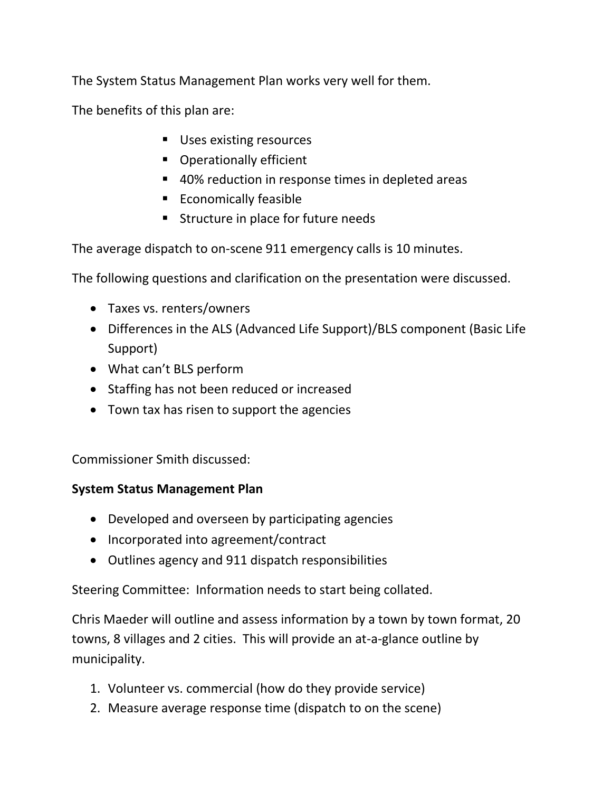The System Status Management Plan works very well for them.

The benefits of this plan are:

- **Uses existing resources**
- **•** Operationally efficient
- 40% reduction in response times in depleted areas
- Economically feasible
- **Structure in place for future needs**

The average dispatch to on-scene 911 emergency calls is 10 minutes.

The following questions and clarification on the presentation were discussed.

- Taxes vs. renters/owners
- Differences in the ALS (Advanced Life Support)/BLS component (Basic Life Support)
- What can't BLS perform
- Staffing has not been reduced or increased
- Town tax has risen to support the agencies

Commissioner Smith discussed:

## **System Status Management Plan**

- Developed and overseen by participating agencies
- Incorporated into agreement/contract
- Outlines agency and 911 dispatch responsibilities

Steering Committee: Information needs to start being collated.

Chris Maeder will outline and assess information by a town by town format, 20 towns, 8 villages and 2 cities. This will provide an at-a-glance outline by municipality.

- 1. Volunteer vs. commercial (how do they provide service)
- 2. Measure average response time (dispatch to on the scene)